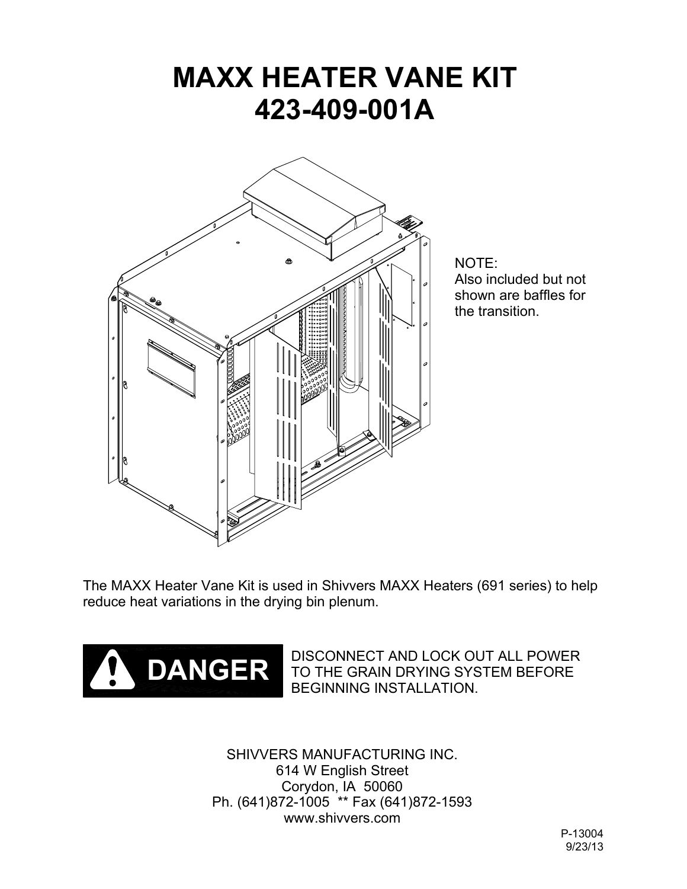# **MAXX HEATER VANE KIT 423-409-001A**



NOTE: Also included but not shown are baffles for the transition.

The MAXX Heater Vane Kit is used in Shivvers MAXX Heaters (691 series) to help reduce heat variations in the drying bin plenum.



DISCONNECT AND LOCK OUT ALL POWER TO THE GRAIN DRYING SYSTEM BEFORE BEGINNING INSTALLATION.

SHIVVERS MANUFACTURING INC. 614 W English Street Corydon, IA 50060 Ph. (641)872-1005 \*\* Fax (641)872-1593 www.shivvers.com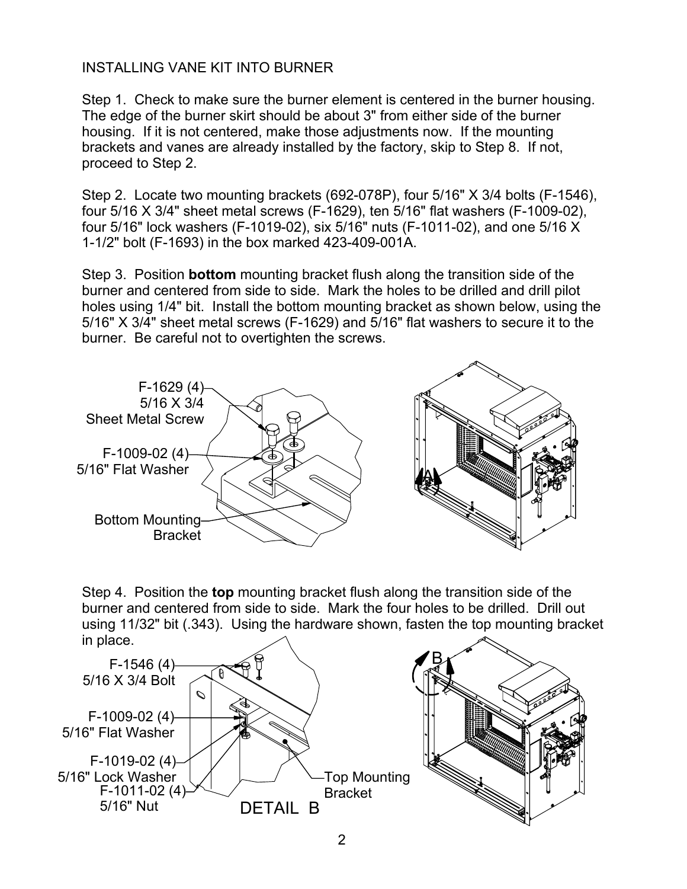## INSTALLING VANE KIT INTO BURNER

Step 1. Check to make sure the burner element is centered in the burner housing. The edge of the burner skirt should be about 3" from either side of the burner housing. If it is not centered, make those adjustments now. If the mounting brackets and vanes are already installed by the factory, skip to Step 8. If not, proceed to Step 2.

Step 2. Locate two mounting brackets (692-078P), four 5/16" X 3/4 bolts (F-1546), four 5/16 X 3/4" sheet metal screws (F-1629), ten 5/16" flat washers (F-1009-02), four 5/16" lock washers (F-1019-02), six 5/16" nuts (F-1011-02), and one 5/16 X 1-1/2" bolt (F-1693) in the box marked 423-409-001A.

Step 3. Position **bottom** mounting bracket flush along the transition side of the burner and centered from side to side. Mark the holes to be drilled and drill pilot holes using 1/4" bit. Install the bottom mounting bracket as shown below, using the 5/16" X 3/4" sheet metal screws (F-1629) and 5/16" flat washers to secure it to the burner. Be careful not to overtighten the screws.



Step 4. Position the **top** mounting bracket flush along the transition side of the burner and centered from side to side. Mark the four holes to be drilled. Drill out using 11/32" bit (.343). Using the hardware shown, fasten the top mounting bracket in place.

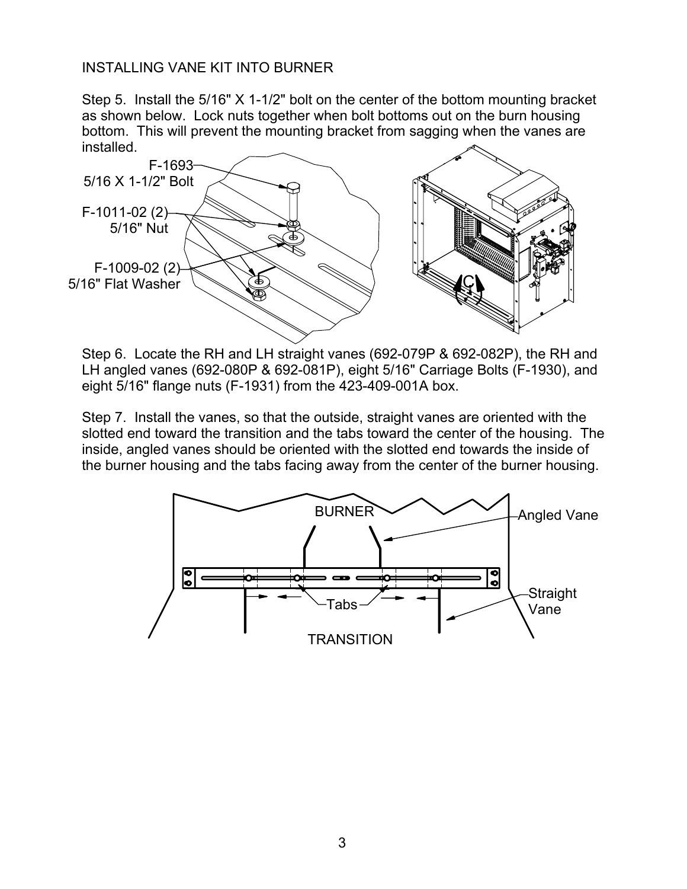## INSTALLING VANE KIT INTO BURNER

Step 5. Install the 5/16" X 1-1/2" bolt on the center of the bottom mounting bracket as shown below. Lock nuts together when bolt bottoms out on the burn housing bottom. This will prevent the mounting bracket from sagging when the vanes are installed.



Step 6. Locate the RH and LH straight vanes (692-079P & 692-082P), the RH and LH angled vanes (692-080P & 692-081P), eight 5/16" Carriage Bolts (F-1930), and eight 5/16" flange nuts (F-1931) from the 423-409-001A box.

Step 7. Install the vanes, so that the outside, straight vanes are oriented with the slotted end toward the transition and the tabs toward the center of the housing. The inside, angled vanes should be oriented with the slotted end towards the inside of the burner housing and the tabs facing away from the center of the burner housing.

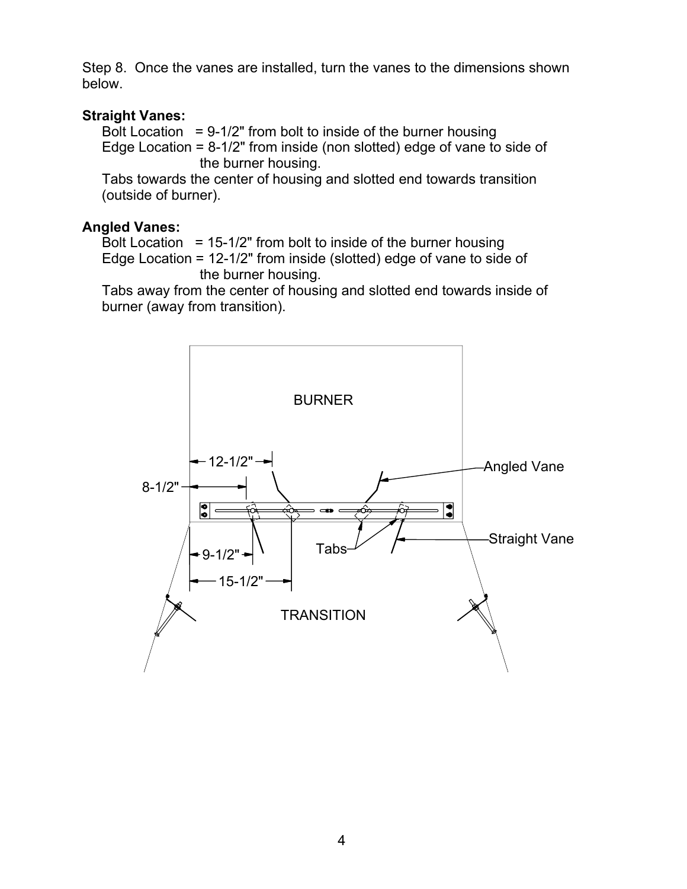Step 8. Once the vanes are installed, turn the vanes to the dimensions shown below.

#### **Straight Vanes:**

Bolt Location  $= 9-1/2$ " from bolt to inside of the burner housing Edge Location = 8-1/2" from inside (non slotted) edge of vane to side of the burner housing.

 Tabs towards the center of housing and slotted end towards transition (outside of burner).

#### **Angled Vanes:**

Bolt Location =  $15-1/2$ " from bolt to inside of the burner housing Edge Location = 12-1/2" from inside (slotted) edge of vane to side of the burner housing.

 Tabs away from the center of housing and slotted end towards inside of burner (away from transition).

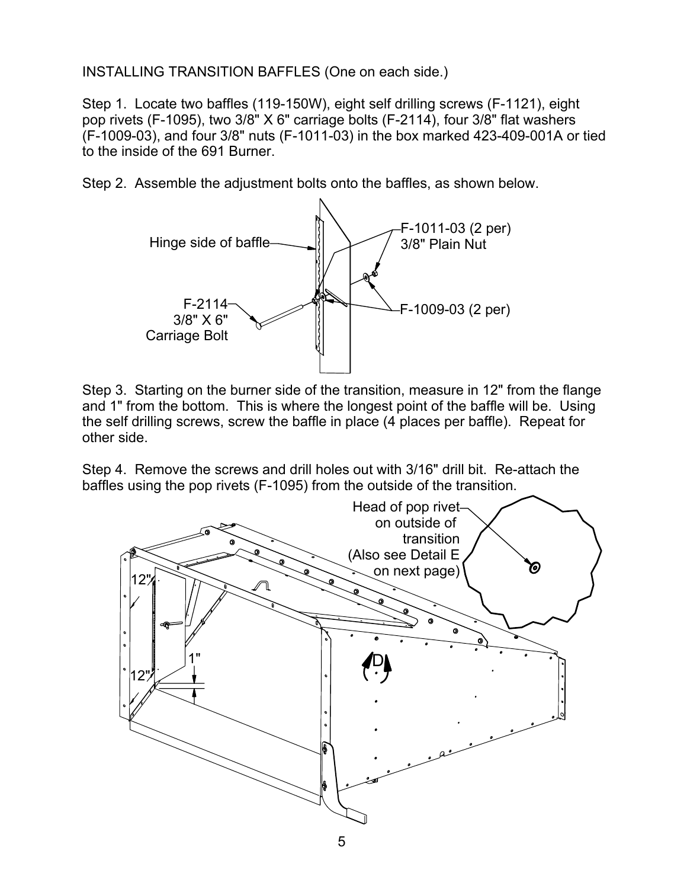INSTALLING TRANSITION BAFFLES (One on each side.)

Step 1. Locate two baffles (119-150W), eight self drilling screws (F-1121), eight pop rivets (F-1095), two 3/8" X 6" carriage bolts (F-2114), four 3/8" flat washers (F-1009-03), and four 3/8" nuts (F-1011-03) in the box marked 423-409-001A or tied to the inside of the 691 Burner.

Step 2. Assemble the adjustment bolts onto the baffles, as shown below.



Step 3. Starting on the burner side of the transition, measure in 12" from the flange and 1" from the bottom. This is where the longest point of the baffle will be. Using the self drilling screws, screw the baffle in place (4 places per baffle). Repeat for other side.

Step 4. Remove the screws and drill holes out with 3/16" drill bit. Re-attach the baffles using the pop rivets (F-1095) from the outside of the transition.